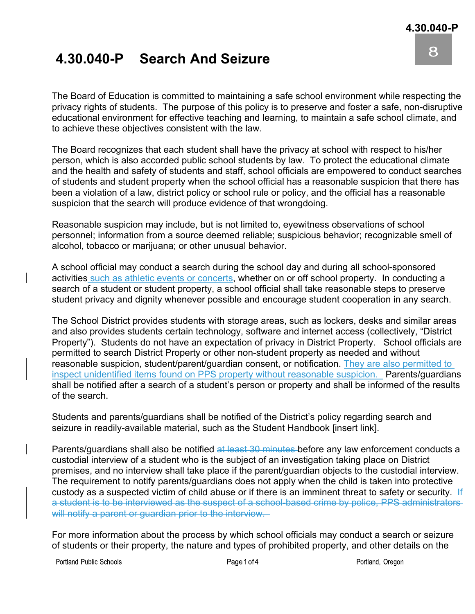8

## **4.30.040-P Search And Seizure**

The Board of Education is committed to maintaining a safe school environment while respecting the privacy rights of students. The purpose of this policy is to preserve and foster a safe, non-disruptive educational environment for effective teaching and learning, to maintain a safe school climate, and to achieve these objectives consistent with the law.

The Board recognizes that each student shall have the privacy at school with respect to his/her person, which is also accorded public school students by law. To protect the educational climate and the health and safety of students and staff, school officials are empowered to conduct searches of students and student property when the school official has a reasonable suspicion that there has been a violation of a law, district policy or school rule or policy, and the official has a reasonable suspicion that the search will produce evidence of that wrongdoing.

Reasonable suspicion may include, but is not limited to, eyewitness observations of school personnel; information from a source deemed reliable; suspicious behavior; recognizable smell of alcohol, tobacco or marijuana; or other unusual behavior.

A school official may conduct a search during the school day and during all school-sponsored activities such as athletic events or concerts, whether on or off school property. In conducting a search of a student or student property, a school official shall take reasonable steps to preserve student privacy and dignity whenever possible and encourage student cooperation in any search.

The School District provides students with storage areas, such as lockers, desks and similar areas and also provides students certain technology, software and internet access (collectively, "District Property"). Students do not have an expectation of privacy in District Property. School officials are permitted to search District Property or other non-student property as needed and without reasonable suspicion, student/parent/guardian consent, or notification. They are also permitted to inspect unidentified items found on PPS property without reasonable suspicion. Parents/guardians shall be notified after a search of a student's person or property and shall be informed of the results of the search.

Students and parents/guardians shall be notified of the District's policy regarding search and seizure in readily-available material, such as the Student Handbook [insert link].

Parents/guardians shall also be notified at least 30 minutes before any law enforcement conducts a custodial interview of a student who is the subject of an investigation taking place on District premises, and no interview shall take place if the parent/guardian objects to the custodial interview. The requirement to notify parents/guardians does not apply when the child is taken into protective custody as a suspected victim of child abuse or if there is an imminent threat to safety or security. If a student is to be interviewed as the suspect of a school-based crime by police, PPS administratorswill notify a parent or guardian prior to the interview.

For more information about the process by which school officials may conduct a search or seizure of students or their property, the nature and types of prohibited property, and other details on the

Portland Public Schools